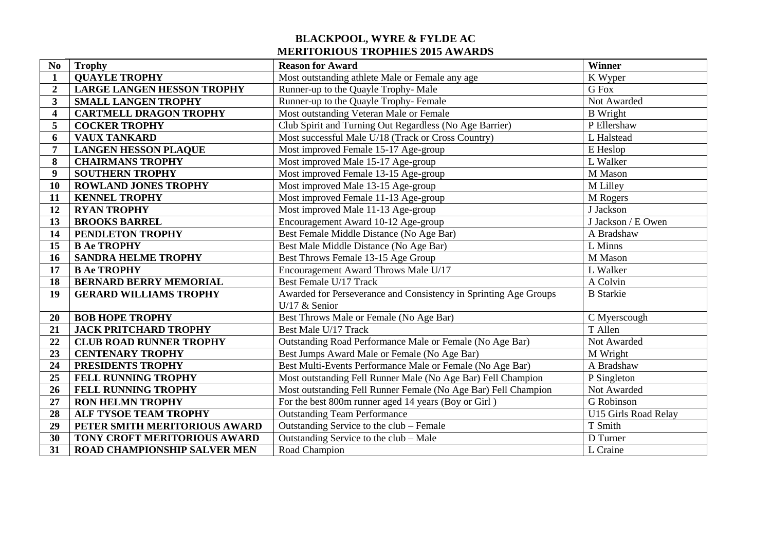## **BLACKPOOL, WYRE & FYLDE AC MERITORIOUS TROPHIES 2015 AWARDS**

| N <sub>0</sub>          | <b>Trophy</b>                       | <b>Reason for Award</b>                                          | Winner               |
|-------------------------|-------------------------------------|------------------------------------------------------------------|----------------------|
| $\mathbf{1}$            | <b>QUAYLE TROPHY</b>                | Most outstanding athlete Male or Female any age                  | K Wyper              |
| $\overline{2}$          | <b>LARGE LANGEN HESSON TROPHY</b>   | Runner-up to the Quayle Trophy- Male                             | G Fox                |
| $\mathbf{3}$            | <b>SMALL LANGEN TROPHY</b>          | Runner-up to the Quayle Trophy-Female                            | Not Awarded          |
| $\overline{\mathbf{4}}$ | <b>CARTMELL DRAGON TROPHY</b>       | Most outstanding Veteran Male or Female                          | <b>B</b> Wright      |
| 5                       | <b>COCKER TROPHY</b>                | Club Spirit and Turning Out Regardless (No Age Barrier)          | P Ellershaw          |
| 6                       | <b>VAUX TANKARD</b>                 | Most successful Male U/18 (Track or Cross Country)               | L Halstead           |
| 7                       | <b>LANGEN HESSON PLAQUE</b>         | Most improved Female 15-17 Age-group                             | E Heslop             |
| 8                       | <b>CHAIRMANS TROPHY</b>             | Most improved Male 15-17 Age-group                               | L Walker             |
| $\boldsymbol{9}$        | <b>SOUTHERN TROPHY</b>              | Most improved Female 13-15 Age-group                             | M Mason              |
| 10                      | <b>ROWLAND JONES TROPHY</b>         | Most improved Male 13-15 Age-group                               | M Lilley             |
| 11                      | <b>KENNEL TROPHY</b>                | Most improved Female 11-13 Age-group                             | M Rogers             |
| 12                      | <b>RYAN TROPHY</b>                  | Most improved Male 11-13 Age-group                               | J Jackson            |
| 13                      | <b>BROOKS BARREL</b>                | Encouragement Award 10-12 Age-group                              | J Jackson / E Owen   |
| 14                      | PENDLETON TROPHY                    | Best Female Middle Distance (No Age Bar)                         | A Bradshaw           |
| 15                      | <b>B Ae TROPHY</b>                  | Best Male Middle Distance (No Age Bar)                           | L Minns              |
| 16                      | <b>SANDRA HELME TROPHY</b>          | Best Throws Female 13-15 Age Group                               | M Mason              |
| 17                      | <b>B Ae TROPHY</b>                  | Encouragement Award Throws Male U/17                             | L Walker             |
| 18                      | <b>BERNARD BERRY MEMORIAL</b>       | Best Female U/17 Track                                           | A Colvin             |
| 19                      | <b>GERARD WILLIAMS TROPHY</b>       | Awarded for Perseverance and Consistency in Sprinting Age Groups | <b>B</b> Starkie     |
|                         |                                     | U/17 $&$ Senior                                                  |                      |
| 20                      | <b>BOB HOPE TROPHY</b>              | Best Throws Male or Female (No Age Bar)                          | C Myerscough         |
| 21                      | <b>JACK PRITCHARD TROPHY</b>        | Best Male U/17 Track                                             | T Allen              |
| 22                      | <b>CLUB ROAD RUNNER TROPHY</b>      | Outstanding Road Performance Male or Female (No Age Bar)         | Not Awarded          |
| 23                      | <b>CENTENARY TROPHY</b>             | Best Jumps Award Male or Female (No Age Bar)                     | M Wright             |
| 24                      | PRESIDENTS TROPHY                   | Best Multi-Events Performance Male or Female (No Age Bar)        | A Bradshaw           |
| 25                      | <b>FELL RUNNING TROPHY</b>          | Most outstanding Fell Runner Male (No Age Bar) Fell Champion     | P Singleton          |
| 26                      | FELL RUNNING TROPHY                 | Most outstanding Fell Runner Female (No Age Bar) Fell Champion   | Not Awarded          |
| $\overline{27}$         | <b>RON HELMN TROPHY</b>             | For the best 800m runner aged 14 years (Boy or Girl)             | G Robinson           |
| 28                      | ALF TYSOE TEAM TROPHY               | <b>Outstanding Team Performance</b>                              | U15 Girls Road Relay |
| 29                      | PETER SMITH MERITORIOUS AWARD       | Outstanding Service to the club – Female                         | T Smith              |
| 30                      | TONY CROFT MERITORIOUS AWARD        | Outstanding Service to the club - Male                           | D Turner             |
| 31                      | <b>ROAD CHAMPIONSHIP SALVER MEN</b> | Road Champion                                                    | L Craine             |